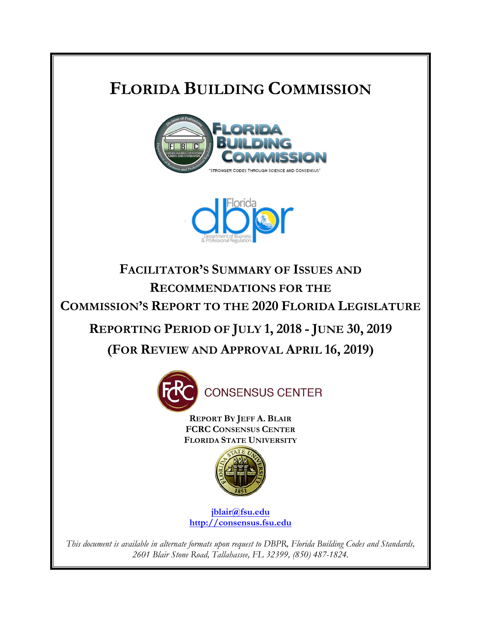# **FLORIDA BUILDING COMMISSION**





**FACILITATOR'S SUMMARY OF ISSUES AND RECOMMENDATIONS FOR THE COMMISSION'S REPORT TO THE 2020 FLORIDA LEGISLATURE REPORTING PERIOD OF JULY 1, 2018 - JUNE 30, 2019**

**(FOR REVIEW AND APPROVAL APRIL 16, 2019)**



**REPORT BY JEFF A. BLAIR FCRC CONSENSUS CENTER FLORIDA STATE UNIVERSITY**



**jblair@fsu.edu http://consensus.fsu.edu**

*This document is available in alternate formats upon request to DBPR, Florida Building Codes and Standards, 2601 Blair Stone Road, Tallahassee, FL 32399, (850) 487-1824.*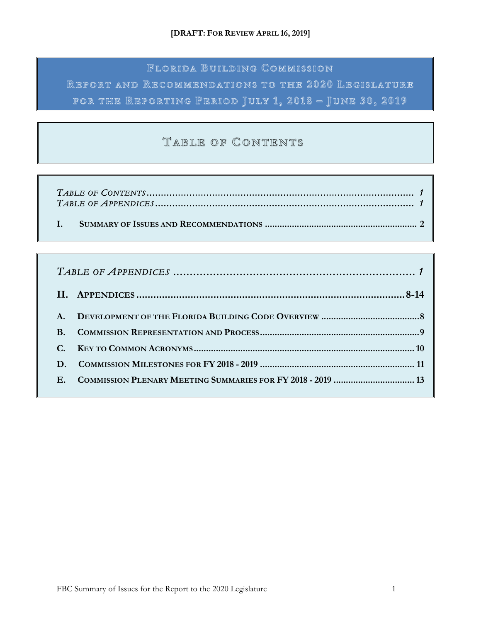# **F LORIDA BUILDING UILDING C OMMISSION**

**R EPORT AND R ECOMMENDATIONS TO THE 2020 L EGISLATURE FOR THE REPORTING EPORTING P ERIOD J ULY 1 , 2018 – J UNE 30, 2019**

# **TABLE OF ABLE OF C ONTENTS ONTENTS**

| $A_{\cdot}$    |                                                             |  |  |
|----------------|-------------------------------------------------------------|--|--|
| $\mathbf{B}$ . |                                                             |  |  |
|                |                                                             |  |  |
|                |                                                             |  |  |
| $\mathbf{E}$   | COMMISSION PLENARY MEETING SUMMARIES FOR FY 2018 - 2019  13 |  |  |
|                |                                                             |  |  |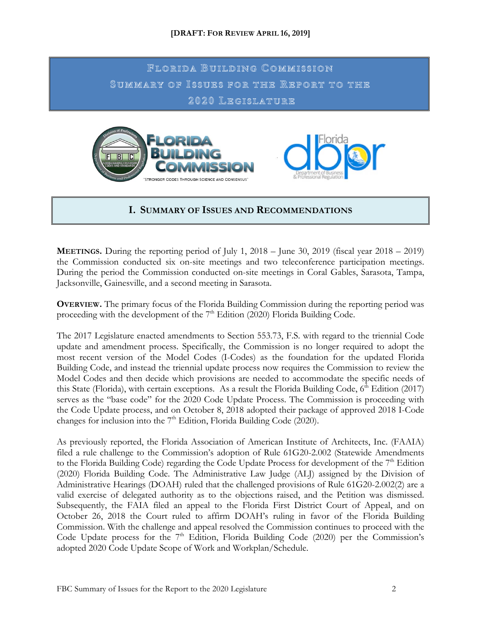**F LORIDA BUILDING UILDING C OMMISSION S UMMARY OF UMMARY OF I SSUES FOR THE SSUES FOR THE R EPORT TO THE 2020 L EGISLATURE**





### **I. SUMMARY OF ISSUES AND RECOMMENDATIONS**

**MEETINGS.** During the reporting period of July 1, 2018 – June 30, 2019 (fiscal year 2018 – 2019) the Commission conducted six on-site meetings and two teleconference participation meetings. During the period the Commission conducted on-site meetings in Coral Gables, Sarasota, Tampa, Jacksonville, Gainesville, and a second meeting in Sarasota.

**OVERVIEW.** The primary focus of the Florida Building Commission during the reporting period was proceeding with the development of the  $7<sup>th</sup>$  Edition (2020) Florida Building Code.

The 2017 Legislature enacted amendments to Section 553.73, F.S. with regard to the triennial Code update and amendment process. Specifically, the Commission is no longer required to adopt the most recent version of the Model Codes (I-Codes) as the foundation for the updated Florida Building Code, and instead the triennial update process now requires the Commission to review the Model Codes and then decide which provisions are needed to accommodate the specific needs of this State (Florida), with certain exceptions. As a result the Florida Building Code,  $6<sup>th</sup>$  Edition (2017) serves as the "base code" for the 2020 Code Update Process. The Commission is proceeding with the Code Update process, and on October 8, 2018 adopted their package of approved 2018 I-Code changes for inclusion into the  $7<sup>th</sup>$  Edition, Florida Building Code (2020).

As previously reported, the Florida Association of American Institute of Architects, Inc. (FAAIA) filed a rule challenge to the Commission's adoption of Rule 61G20-2.002 (Statewide Amendments to the Florida Building Code) regarding the Code Update Process for development of the 7<sup>th</sup> Edition (2020) Florida Building Code. The Administrative Law Judge (ALJ) assigned by the Division of Administrative Hearings (DOAH) ruled that the challenged provisions of Rule 61G20-2.002(2) are a valid exercise of delegated authority as to the objections raised, and the Petition was dismissed. Subsequently, the FAIA filed an appeal to the Florida First District Court of Appeal, and on October 26, 2018 the Court ruled to affirm DOAH's ruling in favor of the Florida Building Commission. With the challenge and appeal resolved the Commission continues to proceed with the Code Update process for the  $7<sup>th</sup>$  Edition, Florida Building Code (2020) per the Commission's adopted 2020 Code Update Scope of Work and Workplan/Schedule.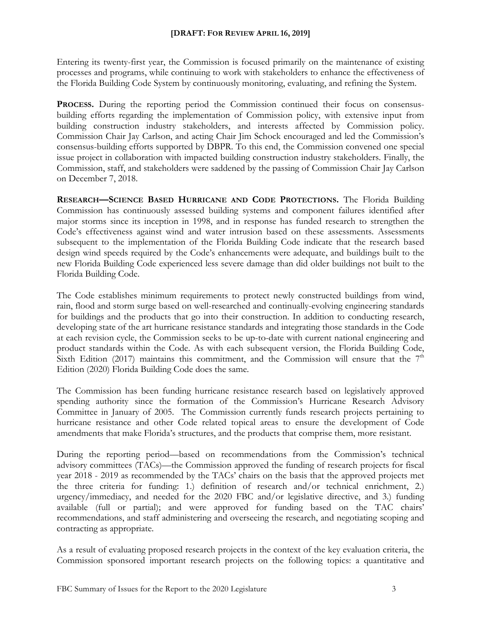Entering its twenty-first year, the Commission is focused primarily on the maintenance of existing processes and programs, while continuing to work with stakeholders to enhance the effectiveness of the Florida Building Code System by continuously monitoring, evaluating, and refining the System.

PROCESS. During the reporting period the Commission continued their focus on consensusbuilding efforts regarding the implementation of Commission policy, with extensive input from building construction industry stakeholders, and interests affected by Commission policy. Commission Chair Jay Carlson, and acting Chair Jim Schock encouraged and led the Commission's consensus-building efforts supported by DBPR. To this end, the Commission convened one special issue project in collaboration with impacted building construction industry stakeholders. Finally, the Commission, staff, and stakeholders were saddened by the passing of Commission Chair Jay Carlson on December 7, 2018.

**RESEARCH—SCIENCE BASED HURRICANE AND CODE PROTECTIONS.** The Florida Building Commission has continuously assessed building systems and component failures identified after major storms since its inception in 1998, and in response has funded research to strengthen the Code's effectiveness against wind and water intrusion based on these assessments. Assessments subsequent to the implementation of the Florida Building Code indicate that the research based design wind speeds required by the Code's enhancements were adequate, and buildings built to the new Florida Building Code experienced less severe damage than did older buildings not built to the Florida Building Code.

The Code establishes minimum requirements to protect newly constructed buildings from wind, rain, flood and storm surge based on well-researched and continually-evolving engineering standards for buildings and the products that go into their construction. In addition to conducting research, developing state of the art hurricane resistance standards and integrating those standards in the Code at each revision cycle, the Commission seeks to be up-to-date with current national engineering and product standards within the Code. As with each subsequent version, the Florida Building Code, Sixth Edition (2017) maintains this commitment, and the Commission will ensure that the  $7<sup>th</sup>$ Edition (2020) Florida Building Code does the same.

The Commission has been funding hurricane resistance research based on legislatively approved spending authority since the formation of the Commission's Hurricane Research Advisory Committee in January of 2005. The Commission currently funds research projects pertaining to hurricane resistance and other Code related topical areas to ensure the development of Code amendments that make Florida's structures, and the products that comprise them, more resistant.

During the reporting period—based on recommendations from the Commission's technical advisory committees (TACs)—the Commission approved the funding of research projects for fiscal year 2018 - 2019 as recommended by the TACs' chairs on the basis that the approved projects met the three criteria for funding: 1.) definition of research and/or technical enrichment, 2.) urgency/immediacy, and needed for the 2020 FBC and/or legislative directive, and 3.) funding available (full or partial); and were approved for funding based on the TAC chairs' recommendations, and staff administering and overseeing the research, and negotiating scoping and contracting as appropriate.

As a result of evaluating proposed research projects in the context of the key evaluation criteria, the Commission sponsored important research projects on the following topics: a quantitative and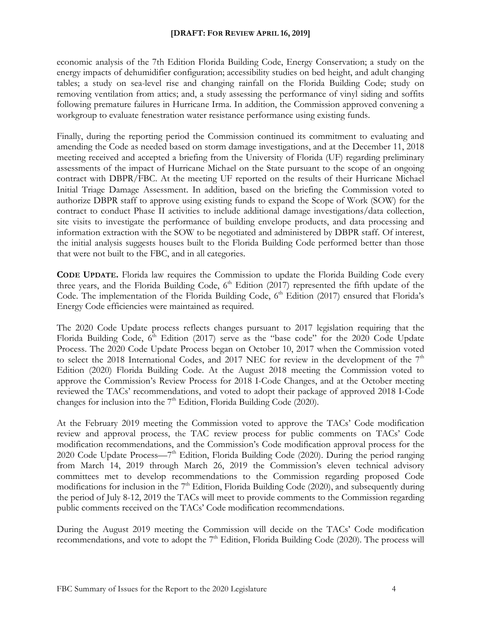economic analysis of the 7th Edition Florida Building Code, Energy Conservation; a study on the energy impacts of dehumidifier configuration; accessibility studies on bed height, and adult changing tables; a study on sea-level rise and changing rainfall on the Florida Building Code; study on removing ventilation from attics; and, a study assessing the performance of vinyl siding and soffits following premature failures in Hurricane Irma. In addition, the Commission approved convening a workgroup to evaluate fenestration water resistance performance using existing funds.

Finally, during the reporting period the Commission continued its commitment to evaluating and amending the Code as needed based on storm damage investigations, and at the December 11, 2018 meeting received and accepted a briefing from the University of Florida (UF) regarding preliminary assessments of the impact of Hurricane Michael on the State pursuant to the scope of an ongoing contract with DBPR/FBC. At the meeting UF reported on the results of their Hurricane Michael Initial Triage Damage Assessment. In addition, based on the briefing the Commission voted to authorize DBPR staff to approve using existing funds to expand the Scope of Work (SOW) for the contract to conduct Phase II activities to include additional damage investigations/data collection, site visits to investigate the performance of building envelope products, and data processing and information extraction with the SOW to be negotiated and administered by DBPR staff. Of interest, the initial analysis suggests houses built to the Florida Building Code performed better than those that were not built to the FBC, and in all categories.

**CODE UPDATE.** Florida law requires the Commission to update the Florida Building Code every three years, and the Florida Building Code,  $6<sup>th</sup>$  Edition (2017) represented the fifth update of the Code. The implementation of the Florida Building Code,  $6<sup>th</sup>$  Edition (2017) ensured that Florida's Energy Code efficiencies were maintained as required.

The 2020 Code Update process reflects changes pursuant to 2017 legislation requiring that the Florida Building Code,  $6<sup>th</sup>$  Edition (2017) serve as the "base code" for the 2020 Code Update Process. The 2020 Code Update Process began on October 10, 2017 when the Commission voted to select the 2018 International Codes, and 2017 NEC for review in the development of the  $7<sup>th</sup>$ Edition (2020) Florida Building Code. At the August 2018 meeting the Commission voted to approve the Commission's Review Process for 2018 I-Code Changes, and at the October meeting reviewed the TACs' recommendations, and voted to adopt their package of approved 2018 I-Code changes for inclusion into the  $7<sup>th</sup>$  Edition, Florida Building Code (2020).

At the February 2019 meeting the Commission voted to approve the TACs' Code modification review and approval process, the TAC review process for public comments on TACs' Code modification recommendations, and the Commission's Code modification approval process for the 2020 Code Update Process—7<sup>th</sup> Edition, Florida Building Code (2020). During the period ranging from March 14, 2019 through March 26, 2019 the Commission's eleven technical advisory committees met to develop recommendations to the Commission regarding proposed Code modifications for inclusion in the  $7<sup>th</sup>$  Edition, Florida Building Code (2020), and subsequently during the period of July 8-12, 2019 the TACs will meet to provide comments to the Commission regarding public comments received on the TACs' Code modification recommendations.

During the August 2019 meeting the Commission will decide on the TACs' Code modification recommendations, and vote to adopt the  $7<sup>th</sup>$  Edition, Florida Building Code (2020). The process will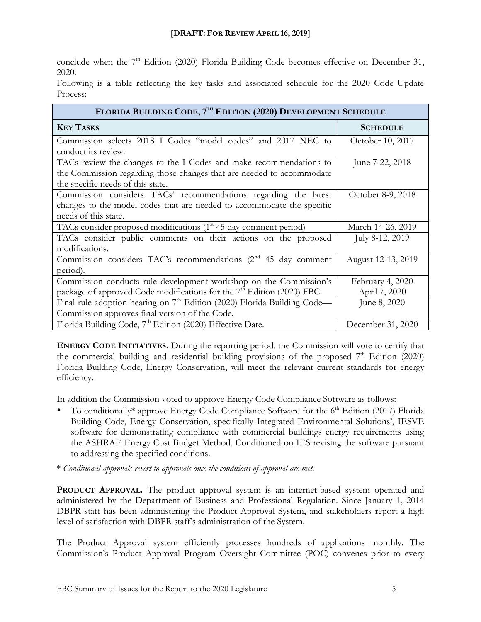conclude when the 7<sup>th</sup> Edition (2020) Florida Building Code becomes effective on December 31, 2020.

Following is a table reflecting the key tasks and associated schedule for the 2020 Code Update Process:

| FLORIDA BUILDING CODE, 7TH EDITION (2020) DEVELOPMENT SCHEDULE                                                                                                                     |                   |  |  |  |
|------------------------------------------------------------------------------------------------------------------------------------------------------------------------------------|-------------------|--|--|--|
| <b>KEY TASKS</b>                                                                                                                                                                   | <b>SCHEDULE</b>   |  |  |  |
| Commission selects 2018 I Codes "model codes" and 2017 NEC to<br>conduct its review.                                                                                               | October 10, 2017  |  |  |  |
| TACs review the changes to the I Codes and make recommendations to<br>the Commission regarding those changes that are needed to accommodate<br>the specific needs of this state.   | June 7-22, 2018   |  |  |  |
| Commission considers TACs' recommendations regarding the latest<br>changes to the model codes that are needed to accommodate the specific<br>needs of this state.                  | October 8-9, 2018 |  |  |  |
| TACs consider proposed modifications (1 <sup>st</sup> 45 day comment period)                                                                                                       | March 14-26, 2019 |  |  |  |
| TACs consider public comments on their actions on the proposed<br>modifications.                                                                                                   | July 8-12, 2019   |  |  |  |
| Commission considers TAC's recommendations (2 <sup>nd</sup> 45 day comment<br>August 12-13, 2019<br>period).                                                                       |                   |  |  |  |
| Commission conducts rule development workshop on the Commission's<br>February 4, 2020<br>package of approved Code modifications for the $7th$ Edition (2020) FBC.<br>April 7, 2020 |                   |  |  |  |
| Final rule adoption hearing on $7th$ Edition (2020) Florida Building Code—<br>Commission approves final version of the Code.                                                       | June 8, 2020      |  |  |  |
| Florida Building Code, 7 <sup>th</sup> Edition (2020) Effective Date.                                                                                                              | December 31, 2020 |  |  |  |

**ENERGY CODE INITIATIVES.** During the reporting period, the Commission will vote to certify that the commercial building and residential building provisions of the proposed  $7<sup>th</sup>$  Edition (2020) Florida Building Code, Energy Conservation, will meet the relevant current standards for energy efficiency.

In addition the Commission voted to approve Energy Code Compliance Software as follows:

- To conditionally\* approve Energy Code Compliance Software for the  $6<sup>th</sup>$  Edition (2017) Florida Building Code, Energy Conservation, specifically Integrated Environmental Solutions', IESVE software for demonstrating compliance with commercial buildings energy requirements using the ASHRAE Energy Cost Budget Method. Conditioned on IES revising the software pursuant to addressing the specified conditions.
- \* *Conditional approvals revert to approvals once the conditions of approval are met.*

**PRODUCT APPROVAL.** The product approval system is an internet-based system operated and administered by the Department of Business and Professional Regulation. Since January 1, 2014 DBPR staff has been administering the Product Approval System, and stakeholders report a high level of satisfaction with DBPR staff's administration of the System.

The Product Approval system efficiently processes hundreds of applications monthly. The Commission's Product Approval Program Oversight Committee (POC) convenes prior to every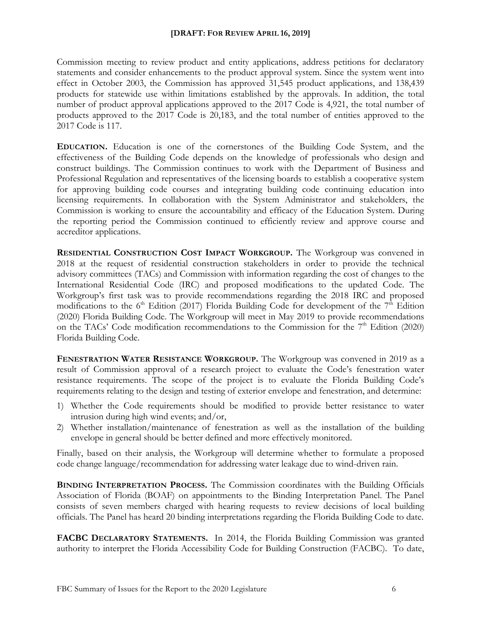Commission meeting to review product and entity applications, address petitions for declaratory statements and consider enhancements to the product approval system. Since the system went into effect in October 2003, the Commission has approved 31,545 product applications, and 138,439 products for statewide use within limitations established by the approvals. In addition, the total number of product approval applications approved to the 2017 Code is 4,921, the total number of products approved to the 2017 Code is 20,183, and the total number of entities approved to the 2017 Code is 117.

**EDUCATION.** Education is one of the cornerstones of the Building Code System, and the effectiveness of the Building Code depends on the knowledge of professionals who design and construct buildings. The Commission continues to work with the Department of Business and Professional Regulation and representatives of the licensing boards to establish a cooperative system for approving building code courses and integrating building code continuing education into licensing requirements. In collaboration with the System Administrator and stakeholders, the Commission is working to ensure the accountability and efficacy of the Education System. During the reporting period the Commission continued to efficiently review and approve course and accreditor applications.

**RESIDENTIAL CONSTRUCTION COST IMPACT WORKGROUP.** The Workgroup was convened in 2018 at the request of residential construction stakeholders in order to provide the technical advisory committees (TACs) and Commission with information regarding the cost of changes to the International Residential Code (IRC) and proposed modifications to the updated Code. The Workgroup's first task was to provide recommendations regarding the 2018 IRC and proposed modifications to the  $6<sup>th</sup>$  Edition (2017) Florida Building Code for development of the  $7<sup>th</sup>$  Edition (2020) Florida Building Code. The Workgroup will meet in May 2019 to provide recommendations on the TACs' Code modification recommendations to the Commission for the  $7<sup>th</sup>$  Edition (2020) Florida Building Code.

**FENESTRATION WATER RESISTANCE WORKGROUP.** The Workgroup was convened in 2019 as a result of Commission approval of a research project to evaluate the Code's fenestration water resistance requirements. The scope of the project is to evaluate the Florida Building Code's requirements relating to the design and testing of exterior envelope and fenestration, and determine:

- 1) Whether the Code requirements should be modified to provide better resistance to water intrusion during high wind events; and/or,
- 2) Whether installation/maintenance of fenestration as well as the installation of the building envelope in general should be better defined and more effectively monitored.

Finally, based on their analysis, the Workgroup will determine whether to formulate a proposed code change language/recommendation for addressing water leakage due to wind-driven rain.

**BINDING INTERPRETATION PROCESS.** The Commission coordinates with the Building Officials Association of Florida (BOAF) on appointments to the Binding Interpretation Panel. The Panel consists of seven members charged with hearing requests to review decisions of local building officials. The Panel has heard 20 binding interpretations regarding the Florida Building Code to date.

**FACBC DECLARATORY STATEMENTS.** In 2014, the Florida Building Commission was granted authority to interpret the Florida Accessibility Code for Building Construction (FACBC). To date,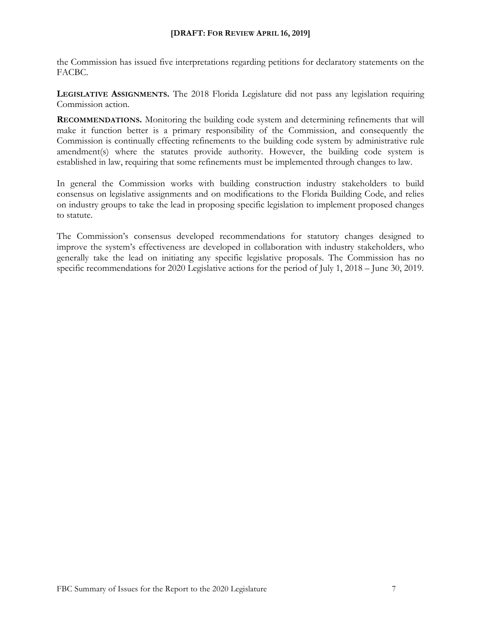the Commission has issued five interpretations regarding petitions for declaratory statements on the FACBC.

**LEGISLATIVE ASSIGNMENTS.** The 2018 Florida Legislature did not pass any legislation requiring Commission action.

**RECOMMENDATIONS.** Monitoring the building code system and determining refinements that will make it function better is a primary responsibility of the Commission, and consequently the Commission is continually effecting refinements to the building code system by administrative rule amendment(s) where the statutes provide authority. However, the building code system is established in law, requiring that some refinements must be implemented through changes to law.

In general the Commission works with building construction industry stakeholders to build consensus on legislative assignments and on modifications to the Florida Building Code, and relies on industry groups to take the lead in proposing specific legislation to implement proposed changes to statute.

The Commission's consensus developed recommendations for statutory changes designed to improve the system's effectiveness are developed in collaboration with industry stakeholders, who generally take the lead on initiating any specific legislative proposals. The Commission has no specific recommendations for 2020 Legislative actions for the period of July 1, 2018 – June 30, 2019.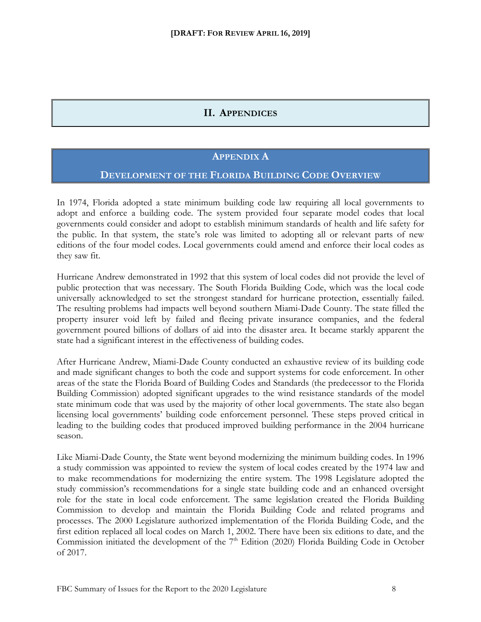## **II. APPENDICES**

#### **APPENDIX A**

#### **DEVELOPMENT OF THE FLORIDA BUILDING CODE OVERVIEW**

In 1974, Florida adopted a state minimum building code law requiring all local governments to adopt and enforce a building code. The system provided four separate model codes that local governments could consider and adopt to establish minimum standards of health and life safety for the public. In that system, the state's role was limited to adopting all or relevant parts of new editions of the four model codes. Local governments could amend and enforce their local codes as they saw fit.

Hurricane Andrew demonstrated in 1992 that this system of local codes did not provide the level of public protection that was necessary. The South Florida Building Code, which was the local code universally acknowledged to set the strongest standard for hurricane protection, essentially failed. The resulting problems had impacts well beyond southern Miami-Dade County. The state filled the property insurer void left by failed and fleeing private insurance companies, and the federal government poured billions of dollars of aid into the disaster area. It became starkly apparent the state had a significant interest in the effectiveness of building codes.

After Hurricane Andrew, Miami-Dade County conducted an exhaustive review of its building code and made significant changes to both the code and support systems for code enforcement. In other areas of the state the Florida Board of Building Codes and Standards (the predecessor to the Florida Building Commission) adopted significant upgrades to the wind resistance standards of the model state minimum code that was used by the majority of other local governments. The state also began licensing local governments' building code enforcement personnel. These steps proved critical in leading to the building codes that produced improved building performance in the 2004 hurricane season.

Like Miami-Dade County, the State went beyond modernizing the minimum building codes. In 1996 a study commission was appointed to review the system of local codes created by the 1974 law and to make recommendations for modernizing the entire system. The 1998 Legislature adopted the study commission's recommendations for a single state building code and an enhanced oversight role for the state in local code enforcement. The same legislation created the Florida Building Commission to develop and maintain the Florida Building Code and related programs and processes. The 2000 Legislature authorized implementation of the Florida Building Code, and the first edition replaced all local codes on March 1, 2002. There have been six editions to date, and the Commission initiated the development of the  $7<sup>th</sup>$  Edition (2020) Florida Building Code in October of 2017.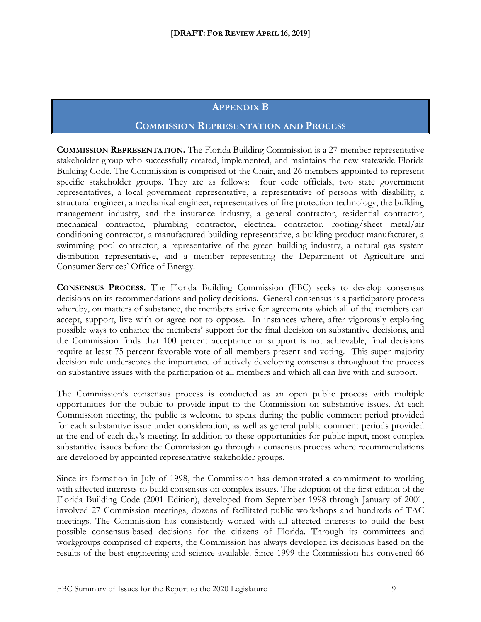#### **APPENDIX B**

#### **COMMISSION REPRESENTATION AND PROCESS**

**COMMISSION REPRESENTATION.** The Florida Building Commission is a 27-member representative stakeholder group who successfully created, implemented, and maintains the new statewide Florida Building Code. The Commission is comprised of the Chair, and 26 members appointed to represent specific stakeholder groups. They are as follows: four code officials, two state government representatives, a local government representative, a representative of persons with disability, a structural engineer, a mechanical engineer, representatives of fire protection technology, the building management industry, and the insurance industry, a general contractor, residential contractor, mechanical contractor, plumbing contractor, electrical contractor, roofing/sheet metal/air conditioning contractor, a manufactured building representative, a building product manufacturer, a swimming pool contractor, a representative of the green building industry, a natural gas system distribution representative, and a member representing the Department of Agriculture and Consumer Services' Office of Energy.

**CONSENSUS PROCESS.** The Florida Building Commission (FBC) seeks to develop consensus decisions on its recommendations and policy decisions. General consensus is a participatory process whereby, on matters of substance, the members strive for agreements which all of the members can accept, support, live with or agree not to oppose. In instances where, after vigorously exploring possible ways to enhance the members' support for the final decision on substantive decisions, and the Commission finds that 100 percent acceptance or support is not achievable, final decisions require at least 75 percent favorable vote of all members present and voting. This super majority decision rule underscores the importance of actively developing consensus throughout the process on substantive issues with the participation of all members and which all can live with and support.

The Commission's consensus process is conducted as an open public process with multiple opportunities for the public to provide input to the Commission on substantive issues. At each Commission meeting, the public is welcome to speak during the public comment period provided for each substantive issue under consideration, as well as general public comment periods provided at the end of each day's meeting. In addition to these opportunities for public input, most complex substantive issues before the Commission go through a consensus process where recommendations are developed by appointed representative stakeholder groups.

Since its formation in July of 1998, the Commission has demonstrated a commitment to working with affected interests to build consensus on complex issues. The adoption of the first edition of the Florida Building Code (2001 Edition), developed from September 1998 through January of 2001, involved 27 Commission meetings, dozens of facilitated public workshops and hundreds of TAC meetings. The Commission has consistently worked with all affected interests to build the best possible consensus-based decisions for the citizens of Florida. Through its committees and workgroups comprised of experts, the Commission has always developed its decisions based on the results of the best engineering and science available. Since 1999 the Commission has convened 66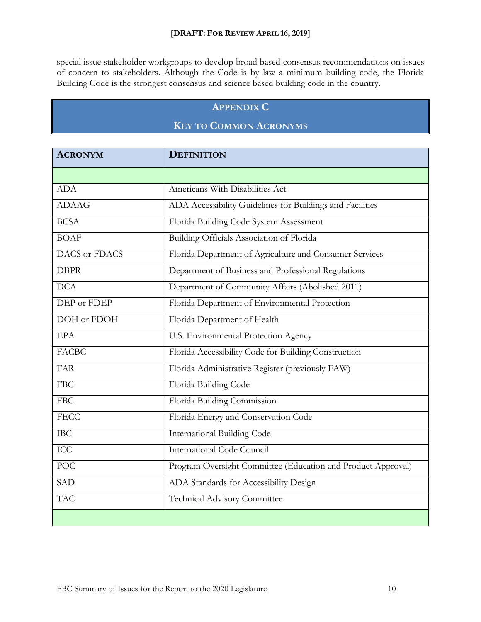special issue stakeholder workgroups to develop broad based consensus recommendations on issues of concern to stakeholders. Although the Code is by law a minimum building code, the Florida Building Code is the strongest consensus and science based building code in the country.

## **APPENDIX C**

# **KEY TO COMMON ACRONYMS**

| <b>ACRONYM</b> | <b>DEFINITION</b>                                            |
|----------------|--------------------------------------------------------------|
|                |                                                              |
| <b>ADA</b>     | Americans With Disabilities Act                              |
| <b>ADAAG</b>   | ADA Accessibility Guidelines for Buildings and Facilities    |
| <b>BCSA</b>    | Florida Building Code System Assessment                      |
| <b>BOAF</b>    | Building Officials Association of Florida                    |
| DACS or FDACS  | Florida Department of Agriculture and Consumer Services      |
| <b>DBPR</b>    | Department of Business and Professional Regulations          |
| DCA            | Department of Community Affairs (Abolished 2011)             |
| DEP or FDEP    | Florida Department of Environmental Protection               |
| DOH or FDOH    | Florida Department of Health                                 |
| <b>EPA</b>     | U.S. Environmental Protection Agency                         |
| <b>FACBC</b>   | Florida Accessibility Code for Building Construction         |
| <b>FAR</b>     | Florida Administrative Register (previously FAW)             |
| <b>FBC</b>     | Florida Building Code                                        |
| <b>FBC</b>     | Florida Building Commission                                  |
| <b>FECC</b>    | Florida Energy and Conservation Code                         |
| IBC            | <b>International Building Code</b>                           |
| <b>ICC</b>     | <b>International Code Council</b>                            |
| <b>POC</b>     | Program Oversight Committee (Education and Product Approval) |
| <b>SAD</b>     | ADA Standards for Accessibility Design                       |
| <b>TAC</b>     | Technical Advisory Committee                                 |
|                |                                                              |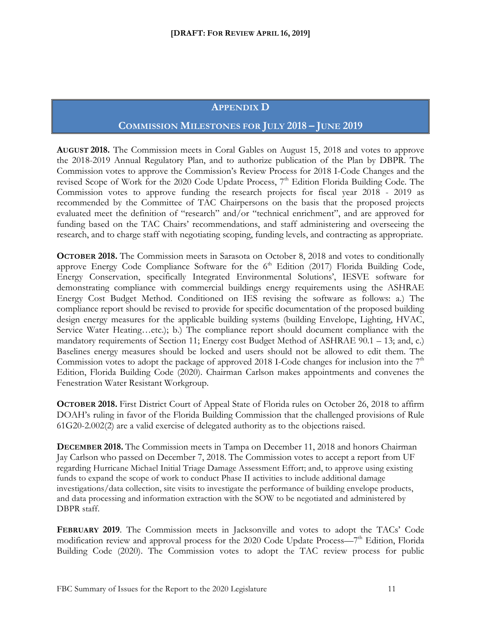#### **APPENDIX D**

#### **COMMISSION MILESTONES FOR JULY 2018 – JUNE 2019**

**AUGUST 2018.** The Commission meets in Coral Gables on August 15, 2018 and votes to approve the 2018-2019 Annual Regulatory Plan, and to authorize publication of the Plan by DBPR. The Commission votes to approve the Commission's Review Process for 2018 I-Code Changes and the revised Scope of Work for the 2020 Code Update Process, 7<sup>th</sup> Edition Florida Building Code. The Commission votes to approve funding the research projects for fiscal year 2018 - 2019 as recommended by the Committee of TAC Chairpersons on the basis that the proposed projects evaluated meet the definition of "research" and/or "technical enrichment", and are approved for funding based on the TAC Chairs' recommendations, and staff administering and overseeing the research, and to charge staff with negotiating scoping, funding levels, and contracting as appropriate.

**OCTOBER 2018.** The Commission meets in Sarasota on October 8, 2018 and votes to conditionally approve Energy Code Compliance Software for the  $6<sup>th</sup>$  Edition (2017) Florida Building Code, Energy Conservation, specifically Integrated Environmental Solutions', IESVE software for demonstrating compliance with commercial buildings energy requirements using the ASHRAE Energy Cost Budget Method. Conditioned on IES revising the software as follows: a.) The compliance report should be revised to provide for specific documentation of the proposed building design energy measures for the applicable building systems (building Envelope, Lighting, HVAC, Service Water Heating…etc.); b.) The compliance report should document compliance with the mandatory requirements of Section 11; Energy cost Budget Method of ASHRAE 90.1 – 13; and, c.) Baselines energy measures should be locked and users should not be allowed to edit them. The Commission votes to adopt the package of approved 2018 I-Code changes for inclusion into the  $7<sup>th</sup>$ Edition, Florida Building Code (2020). Chairman Carlson makes appointments and convenes the Fenestration Water Resistant Workgroup.

**OCTOBER 2018.** First District Court of Appeal State of Florida rules on October 26, 2018 to affirm DOAH's ruling in favor of the Florida Building Commission that the challenged provisions of Rule 61G20-2.002(2) are a valid exercise of delegated authority as to the objections raised.

**DECEMBER 2018.** The Commission meets in Tampa on December 11, 2018 and honors Chairman Jay Carlson who passed on December 7, 2018. The Commission votes to accept a report from UF regarding Hurricane Michael Initial Triage Damage Assessment Effort; and, to approve using existing funds to expand the scope of work to conduct Phase II activities to include additional damage investigations/data collection, site visits to investigate the performance of building envelope products, and data processing and information extraction with the SOW to be negotiated and administered by DBPR staff.

**FEBRUARY 2019**. The Commission meets in Jacksonville and votes to adopt the TACs' Code modification review and approval process for the 2020 Code Update Process— $7<sup>th</sup>$  Edition, Florida Building Code (2020). The Commission votes to adopt the TAC review process for public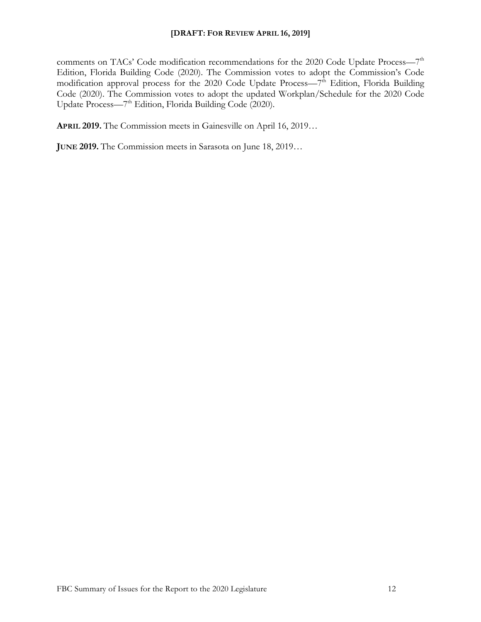comments on TACs' Code modification recommendations for the 2020 Code Update Process—7<sup>th</sup> Edition, Florida Building Code (2020). The Commission votes to adopt the Commission's Code modification approval process for the 2020 Code Update Process—7<sup>th</sup> Edition, Florida Building Code (2020). The Commission votes to adopt the updated Workplan/Schedule for the 2020 Code Update Process—7<sup>th</sup> Edition, Florida Building Code (2020).

**APRIL 2019.** The Commission meets in Gainesville on April 16, 2019…

**JUNE 2019.** The Commission meets in Sarasota on June 18, 2019…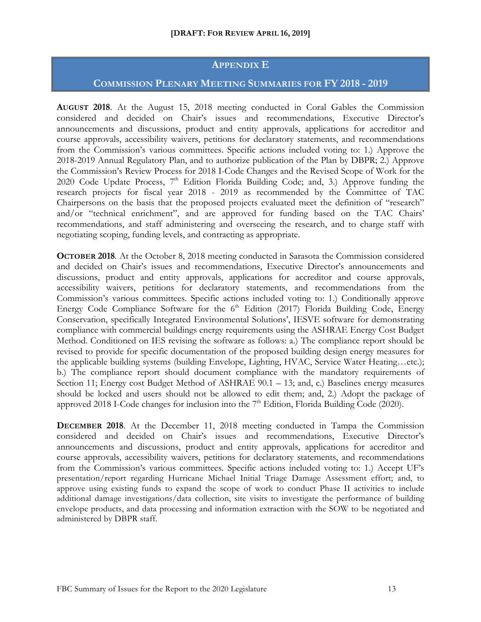#### **APPENDIX E**

#### **COMMISSION PLENARY MEETING SUMMARIES FOR FY 2018 - 2019**

**AUGUST 2018**. At the August 15, 2018 meeting conducted in Coral Gables the Commission considered and decided on Chair's issues and recommendations, Executive Director's announcements and discussions, product and entity approvals, applications for accreditor and course approvals, accessibility waivers, petitions for declaratory statements, and recommendations from the Commission's various committees. Specific actions included voting to: 1.) Approve the 2018-2019 Annual Regulatory Plan, and to authorize publication of the Plan by DBPR; 2.) Approve the Commission's Review Process for 2018 I-Code Changes and the Revised Scope of Work for the 2020 Code Update Process,  $7<sup>th</sup>$  Edition Florida Building Code; and, 3.) Approve funding the research projects for fiscal year 2018 - 2019 as recommended by the Committee of TAC Chairpersons on the basis that the proposed projects evaluated meet the definition of "research" and/or "technical enrichment", and are approved for funding based on the TAC Chairs' recommendations, and staff administering and overseeing the research, and to charge staff with negotiating scoping, funding levels, and contracting as appropriate.

**OCTOBER 2018**. At the October 8, 2018 meeting conducted in Sarasota the Commission considered and decided on Chair's issues and recommendations, Executive Director's announcements and discussions, product and entity approvals, applications for accreditor and course approvals, accessibility waivers, petitions for declaratory statements, and recommendations from the Commission's various committees. Specific actions included voting to: 1.) Conditionally approve Energy Code Compliance Software for the  $6<sup>th</sup>$  Edition (2017) Florida Building Code, Energy Conservation, specifically Integrated Environmental Solutions', IESVE software for demonstrating compliance with commercial buildings energy requirements using the ASHRAE Energy Cost Budget Method. Conditioned on IES revising the software as follows: a.) The compliance report should be revised to provide for specific documentation of the proposed building design energy measures for the applicable building systems (building Envelope, Lighting, HVAC, Service Water Heating…etc.); b.) The compliance report should document compliance with the mandatory requirements of Section 11; Energy cost Budget Method of ASHRAE 90.1 – 13; and, c.) Baselines energy measures should be locked and users should not be allowed to edit them; and, 2.) Adopt the package of approved 2018 I-Code changes for inclusion into the  $7<sup>th</sup>$  Edition, Florida Building Code (2020).

**DECEMBER 2018**. At the December 11, 2018 meeting conducted in Tampa the Commission considered and decided on Chair's issues and recommendations, Executive Director's announcements and discussions, product and entity approvals, applications for accreditor and course approvals, accessibility waivers, petitions for declaratory statements, and recommendations from the Commission's various committees. Specific actions included voting to: 1.) Accept UF's presentation/report regarding Hurricane Michael Initial Triage Damage Assessment effort; and, to approve using existing funds to expand the scope of work to conduct Phase II activities to include additional damage investigations/data collection, site visits to investigate the performance of building envelope products, and data processing and information extraction with the SOW to be negotiated and administered by DBPR staff.